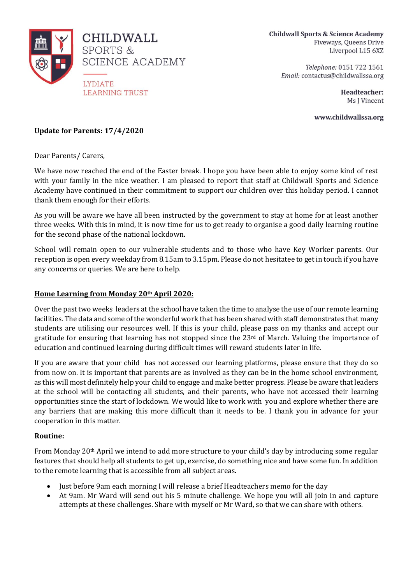

**Childwall Sports & Science Academy** Fiveways, Queens Drive Liverpool L15 6XZ

> Telephone: 0151 722 1561 Email: contactus@childwallssa.org

> > Headteacher: Ms J Vincent

www.childwallssa.org

## **Update for Parents: 17/4/2020**

Dear Parents/ Carers,

We have now reached the end of the Easter break. I hope you have been able to enjoy some kind of rest with your family in the nice weather. I am pleased to report that staff at Childwall Sports and Science Academy have continued in their commitment to support our children over this holiday period. I cannot thank them enough for their efforts.

As you will be aware we have all been instructed by the government to stay at home for at least another three weeks. With this in mind, it is now time for us to get ready to organise a good daily learning routine for the second phase of the national lockdown.

School will remain open to our vulnerable students and to those who have Key Worker parents. Our reception is open every weekday from 8.15am to 3.15pm. Please do not hesitatee to get in touch if you have any concerns or queries. We are here to help.

## **Home Learning from Monday 20th April 2020:**

Over the past two weeks leaders at the school have taken the time to analyse the use of our remote learning facilities. The data and some of the wonderful work that has been shared with staff demonstrates that many students are utilising our resources well. If this is your child, please pass on my thanks and accept our gratitude for ensuring that learning has not stopped since the  $23<sup>rd</sup>$  of March. Valuing the importance of education and continued learning during difficult times will reward students later in life.

If you are aware that your child has not accessed our learning platforms, please ensure that they do so from now on. It is important that parents are as involved as they can be in the home school environment, as this will most definitely help your child to engage and make better progress. Please be aware that leaders at the school will be contacting all students, and their parents, who have not accessed their learning opportunities since the start of lockdown. We would like to work with you and explore whether there are any barriers that are making this more difficult than it needs to be. I thank you in advance for your cooperation in this matter.

## **Routine:**

From Monday 20th April we intend to add more structure to your child's day by introducing some regular features that should help all students to get up, exercise, do something nice and have some fun. In addition to the remote learning that is accessible from all subject areas.

- Just before 9am each morning I will release a brief Headteachers memo for the day
- At 9am. Mr Ward will send out his 5 minute challenge. We hope you will all join in and capture attempts at these challenges. Share with myself or Mr Ward, so that we can share with others.